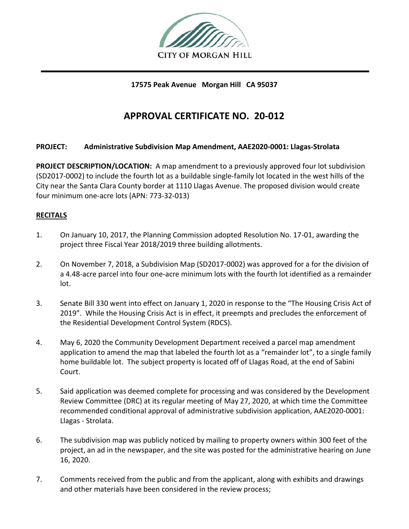

**17575 Peak Avenue Morgan Hill CA 95037**

# **APPROVAL CERTIFICATE NO. 20-012**

## **PROJECT: Administrative Subdivision Map Amendment, AAE2020-0001: Llagas-Strolata**

**PROJECT DESCRIPTION/LOCATION:** A map amendment to a previously approved four lot subdivision (SD2017-0002) to include the fourth lot as a buildable single-family lot located in the west hills of the City near the Santa Clara County border at 1110 Llagas Avenue. The proposed division would create four minimum one-acre lots (APN: 773-32-013)

## **RECITALS**

- 1. On January 10, 2017, the Planning Commission adopted Resolution No. 17-01, awarding the project three Fiscal Year 2018/2019 three building allotments.
- 2. On November 7, 2018, a Subdivision Map (SD2017-0002) was approved for a for the division of a 4.48-acre parcel into four one-acre minimum lots with the fourth lot identified as a remainder lot.
- 3. Senate Bill 330 went into effect on January 1, 2020 in response to the "The Housing Crisis Act of 2019". While the Housing Crisis Act is in effect, it preempts and precludes the enforcement of the Residential Development Control System (RDCS).
- 4. May 6, 2020 the Community Development Department received a parcel map amendment application to amend the map that labeled the fourth lot as a "remainder lot", to a single family home buildable lot. The subject property is located off of Llagas Road, at the end of Sabini Court.
- 5. Said application was deemed complete for processing and was considered by the Development Review Committee (DRC) at its regular meeting of May 27, 2020, at which time the Committee recommended conditional approval of administrative subdivision application, AAE2020-0001: Llagas - Strolata.
- 6. The subdivision map was publicly noticed by mailing to property owners within 300 feet of the project, an ad in the newspaper, and the site was posted for the administrative hearing on June 16, 2020.
- 7. Comments received from the public and from the applicant, along with exhibits and drawings and other materials have been considered in the review process;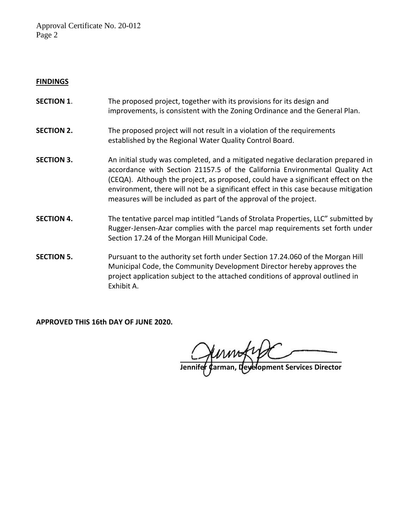Approval Certificate No. 20-012 Page 2

#### **FINDINGS**

- **SECTION 1.** The proposed project, together with its provisions for its design and improvements, is consistent with the Zoning Ordinance and the General Plan.
- **SECTION 2.** The proposed project will not result in a violation of the requirements established by the Regional Water Quality Control Board.
- **SECTION 3.** An initial study was completed, and a mitigated negative declaration prepared in accordance with Section 21157.5 of the California Environmental Quality Act (CEQA). Although the project, as proposed, could have a significant effect on the environment, there will not be a significant effect in this case because mitigation measures will be included as part of the approval of the project.
- **SECTION 4.** The tentative parcel map intitled "Lands of Strolata Properties, LLC" submitted by Rugger-Jensen-Azar complies with the parcel map requirements set forth under Section 17.24 of the Morgan Hill Municipal Code.
- **SECTION 5.** Pursuant to the authority set forth under Section 17.24.060 of the Morgan Hill Municipal Code, the Community Development Director hereby approves the project application subject to the attached conditions of approval outlined in Exhibit A.

**APPROVED THIS 16th DAY OF JUNE 2020.**

**Philber Carrices Director**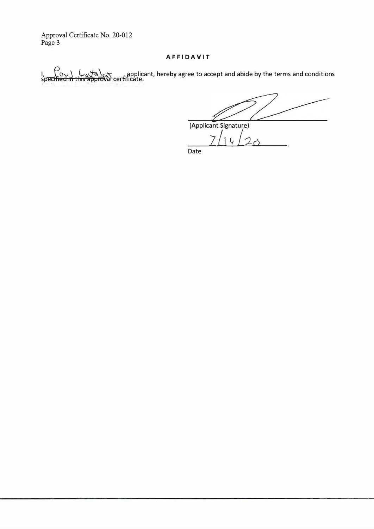Approval Certificate No. 20-012 Page 3

#### **AFFIDAVIT**

I,  $\frac{L_0}{L_0}$  , applicant, hereby agree to accept and abide by the terms and conditions<br>Toroval certificate.  $\bigcap_{\substack{b \in \mathcal{B} \\ \text{specified in this at}}}$ 

(Applicant Signature)

*z /1 v !20*  Date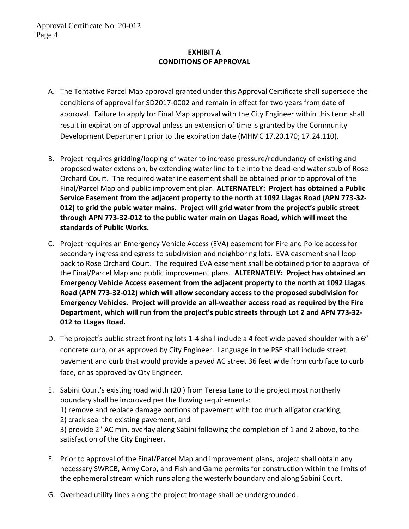## **EXHIBIT A CONDITIONS OF APPROVAL**

- A. The Tentative Parcel Map approval granted under this Approval Certificate shall supersede the conditions of approval for SD2017-0002 and remain in effect for two years from date of approval. Failure to apply for Final Map approval with the City Engineer within this term shall result in expiration of approval unless an extension of time is granted by the Community Development Department prior to the expiration date (MHMC 17.20.170; 17.24.110).
- B. Project requires gridding/looping of water to increase pressure/redundancy of existing and proposed water extension, by extending water line to tie into the dead-end water stub of Rose Orchard Court. The required waterline easement shall be obtained prior to approval of the Final/Parcel Map and public improvement plan. **ALTERNATELY: Project has obtained a Public Service Easement from the adjacent property to the north at 1092 Llagas Road (APN 773-32- 012) to grid the pubic water mains. Project will grid water from the project's public street through APN 773-32-012 to the public water main on Llagas Road, which will meet the standards of Public Works.**
- C. Project requires an Emergency Vehicle Access (EVA) easement for Fire and Police access for secondary ingress and egress to subdivision and neighboring lots. EVA easement shall loop back to Rose Orchard Court. The required EVA easement shall be obtained prior to approval of the Final/Parcel Map and public improvement plans. **ALTERNATELY: Project has obtained an Emergency Vehicle Access easement from the adjacent property to the north at 1092 Llagas Road (APN 773-32-012) which will allow secondary access to the proposed subdivision for Emergency Vehicles. Project will provide an all-weather access road as required by the Fire Department, which will run from the project's pubic streets through Lot 2 and APN 773-32- 012 to LLagas Road.**
- D. The project's public street fronting lots 1-4 shall include a 4 feet wide paved shoulder with a 6" concrete curb, or as approved by City Engineer. Language in the PSE shall include street pavement and curb that would provide a paved AC street 36 feet wide from curb face to curb face, or as approved by City Engineer.
- E. Sabini Court's existing road width (20') from Teresa Lane to the project most northerly boundary shall be improved per the flowing requirements: 1) remove and replace damage portions of pavement with too much alligator cracking, 2) crack seal the existing pavement, and 3) provide 2" AC min. overlay along Sabini following the completion of 1 and 2 above, to the satisfaction of the City Engineer.
- F. Prior to approval of the Final/Parcel Map and improvement plans, project shall obtain any necessary SWRCB, Army Corp, and Fish and Game permits for construction within the limits of the ephemeral stream which runs along the westerly boundary and along Sabini Court.
- G. Overhead utility lines along the project frontage shall be undergrounded.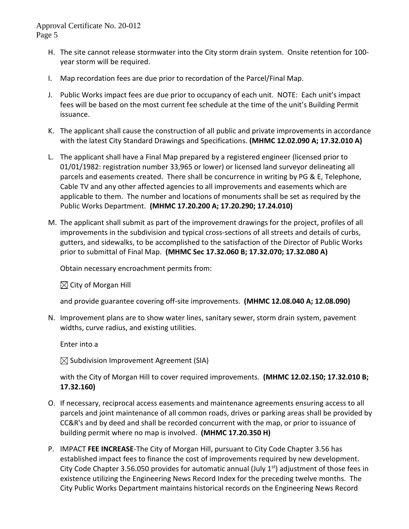- H. The site cannot release stormwater into the City storm drain system. Onsite retention for 100 year storm will be required.
- I. Map recordation fees are due prior to recordation of the Parcel/Final Map.
- J. Public Works impact fees are due prior to occupancy of each unit. NOTE: Each unit's impact fees will be based on the most current fee schedule at the time of the unit's Building Permit issuance.
- K. The applicant shall cause the construction of all public and private improvements in accordance with the latest City Standard Drawings and Specifications. **(MHMC 12.02.090 A; 17.32.010 A)**
- L. The applicant shall have a Final Map prepared by a registered engineer (licensed prior to 01/01/1982: registration number 33,965 or lower) or licensed land surveyor delineating all parcels and easements created. There shall be concurrence in writing by PG & E, Telephone, Cable TV and any other affected agencies to all improvements and easements which are applicable to them. The number and locations of monuments shall be set as required by the Public Works Department. **(MHMC 17.20.200 A; 17.20.290; 17.24.010)**
- M. The applicant shall submit as part of the improvement drawings for the project, profiles of all improvements in the subdivision and typical cross-sections of all streets and details of curbs, gutters, and sidewalks, to be accomplished to the satisfaction of the Director of Public Works prior to submittal of Final Map. **(MHMC Sec 17.32.060 B; 17.32.070; 17.32.080 A)**

Obtain necessary encroachment permits from:

 $\boxtimes$  City of Morgan Hill

and provide guarantee covering off-site improvements. **(MHMC 12.08.040 A; 12.08.090)**

N. Improvement plans are to show water lines, sanitary sewer, storm drain system, pavement widths, curve radius, and existing utilities.

Enter into a

 $\boxtimes$  Subdivision Improvement Agreement (SIA)

with the City of Morgan Hill to cover required improvements. **(MHMC 12.02.150; 17.32.010 B; 17.32.160)**

- O. If necessary, reciprocal access easements and maintenance agreements ensuring access to all parcels and joint maintenance of all common roads, drives or parking areas shall be provided by CC&R's and by deed and shall be recorded concurrent with the map, or prior to issuance of building permit where no map is involved. **(MHMC 17.20.350 H)**
- P. IMPACT **FEE INCREASE**-The City of Morgan Hill, pursuant to City Code Chapter 3.56 has established impact fees to finance the cost of improvements required by new development. City Code Chapter 3.56.050 provides for automatic annual (July  $1<sup>st</sup>$ ) adjustment of those fees in existence utilizing the Engineering News Record Index for the preceding twelve months. The City Public Works Department maintains historical records on the Engineering News Record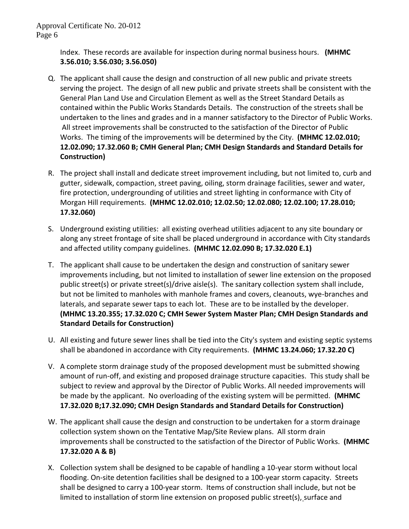Index. These records are available for inspection during normal business hours. **(MHMC 3.56.010; 3.56.030; 3.56.050)**

- Q. The applicant shall cause the design and construction of all new public and private streets serving the project. The design of all new public and private streets shall be consistent with the General Plan Land Use and Circulation Element as well as the Street Standard Details as contained within the Public Works Standards Details. The construction of the streets shall be undertaken to the lines and grades and in a manner satisfactory to the Director of Public Works. All street improvements shall be constructed to the satisfaction of the Director of Public Works. The timing of the improvements will be determined by the City. **(MHMC 12.02.010; 12.02.090; 17.32.060 B; CMH General Plan; CMH Design Standards and Standard Details for Construction)**
- R. The project shall install and dedicate street improvement including, but not limited to, curb and gutter, sidewalk, compaction, street paving, oiling, storm drainage facilities, sewer and water, fire protection, undergrounding of utilities and street lighting in conformance with City of Morgan Hill requirements. **(MHMC 12.02.010; 12.02.50; 12.02.080; 12.02.100; 17.28.010; 17.32.060)**
- S. Underground existing utilities: all existing overhead utilities adjacent to any site boundary or along any street frontage of site shall be placed underground in accordance with City standards and affected utility company guidelines. **(MHMC 12.02.090 B; 17.32.020 E.1)**
- T. The applicant shall cause to be undertaken the design and construction of sanitary sewer improvements including, but not limited to installation of sewer line extension on the proposed public street(s) or private street(s)/drive aisle(s). The sanitary collection system shall include, but not be limited to manholes with manhole frames and covers, cleanouts, wye-branches and laterals, and separate sewer taps to each lot. These are to be installed by the developer. **(MHMC 13.20.355; 17.32.020 C; CMH Sewer System Master Plan; CMH Design Standards and Standard Details for Construction)**
- U. All existing and future sewer lines shall be tied into the City's system and existing septic systems shall be abandoned in accordance with City requirements. **(MHMC 13.24.060; 17.32.20 C)**
- V. A complete storm drainage study of the proposed development must be submitted showing amount of run-off, and existing and proposed drainage structure capacities. This study shall be subject to review and approval by the Director of Public Works. All needed improvements will be made by the applicant. No overloading of the existing system will be permitted. **(MHMC 17.32.020 B;17.32.090; CMH Design Standards and Standard Details for Construction)**
- W. The applicant shall cause the design and construction to be undertaken for a storm drainage collection system shown on the Tentative Map/Site Review plans. All storm drain improvements shall be constructed to the satisfaction of the Director of Public Works. **(MHMC 17.32.020 A & B)**
- X. Collection system shall be designed to be capable of handling a 10-year storm without local flooding. On-site detention facilities shall be designed to a 100-year storm capacity. Streets shall be designed to carry a 100-year storm. Items of construction shall include, but not be limited to installation of storm line extension on proposed public street(s), surface and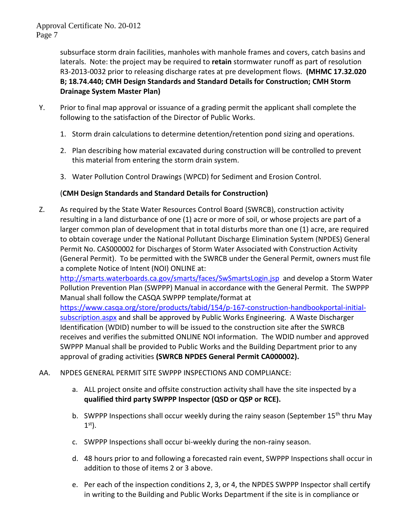subsurface storm drain facilities, manholes with manhole frames and covers, catch basins and laterals. Note: the project may be required to **retain** stormwater runoff as part of resolution R3-2013-0032 prior to releasing discharge rates at pre development flows. **(MHMC 17.32.020 B; 18.74.440; CMH Design Standards and Standard Details for Construction; CMH Storm Drainage System Master Plan)** 

- Y. Prior to final map approval or issuance of a grading permit the applicant shall complete the following to the satisfaction of the Director of Public Works.
	- 1. Storm drain calculations to determine detention/retention pond sizing and operations.
	- 2. Plan describing how material excavated during construction will be controlled to prevent this material from entering the storm drain system.
	- 3. Water Pollution Control Drawings (WPCD) for Sediment and Erosion Control.

# (**CMH Design Standards and Standard Details for Construction)**

Z. As required by the State Water Resources Control Board (SWRCB), construction activity resulting in a land disturbance of one (1) acre or more of soil, or whose projects are part of a larger common plan of development that in total disturbs more than one (1) acre, are required to obtain coverage under the National Pollutant Discharge Elimination System (NPDES) General Permit No. CAS000002 for Discharges of Storm Water Associated with Construction Activity (General Permit). To be permitted with the SWRCB under the General Permit, owners must file a complete Notice of Intent (NOI) ONLINE at:

<http://smarts.waterboards.ca.gov/smarts/faces/SwSmartsLogin.jsp>and develop a Storm Water Pollution Prevention Plan (SWPPP) Manual in accordance with the General Permit. The SWPPP Manual shall follow the CASQA SWPPP template/format at

[https://www.casqa.org/store/products/tabid/154/p-167-construction-handbookportal-initial](https://www.casqa.org/store/products/tabid/154/p-167-construction-handbookportal-initial-subscription.aspx)[subscription.aspx](https://www.casqa.org/store/products/tabid/154/p-167-construction-handbookportal-initial-subscription.aspx) and shall be approved by Public Works Engineering. A Waste Discharger Identification (WDID) number to will be issued to the construction site after the SWRCB receives and verifies the submitted ONLINE NOI information. The WDID number and approved SWPPP Manual shall be provided to Public Works and the Building Department prior to any approval of grading activities **(SWRCB NPDES General Permit CA000002).**

- AA. NPDES GENERAL PERMIT SITE SWPPP INSPECTIONS AND COMPLIANCE:
	- a. ALL project onsite and offsite construction activity shall have the site inspected by a **qualified third party SWPPP Inspector (QSD or QSP or RCE).**
	- b. SWPPP Inspections shall occur weekly during the rainy season (September 15<sup>th</sup> thru May 1 st).
	- c. SWPPP Inspections shall occur bi-weekly during the non-rainy season.
	- d. 48 hours prior to and following a forecasted rain event, SWPPP Inspections shall occur in addition to those of items 2 or 3 above.
	- e. Per each of the inspection conditions 2, 3, or 4, the NPDES SWPPP Inspector shall certify in writing to the Building and Public Works Department if the site is in compliance or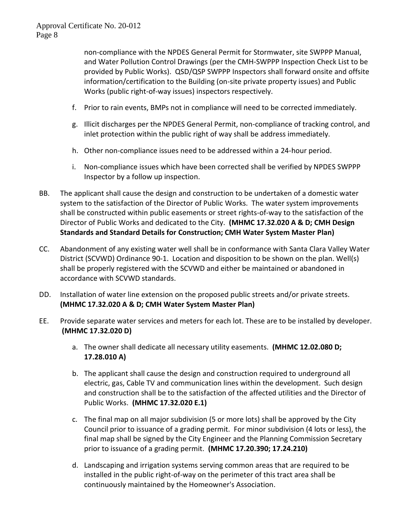non-compliance with the NPDES General Permit for Stormwater, site SWPPP Manual, and Water Pollution Control Drawings (per the CMH-SWPPP Inspection Check List to be provided by Public Works). QSD/QSP SWPPP Inspectors shall forward onsite and offsite information/certification to the Building (on-site private property issues) and Public Works (public right-of-way issues) inspectors respectively.

- f. Prior to rain events, BMPs not in compliance will need to be corrected immediately.
- g. Illicit discharges per the NPDES General Permit, non-compliance of tracking control, and inlet protection within the public right of way shall be address immediately.
- h. Other non-compliance issues need to be addressed within a 24-hour period.
- i. Non-compliance issues which have been corrected shall be verified by NPDES SWPPP Inspector by a follow up inspection.
- BB. The applicant shall cause the design and construction to be undertaken of a domestic water system to the satisfaction of the Director of Public Works. The water system improvements shall be constructed within public easements or street rights-of-way to the satisfaction of the Director of Public Works and dedicated to the City. **(MHMC 17.32.020 A & D; CMH Design Standards and Standard Details for Construction; CMH Water System Master Plan)**
- CC. Abandonment of any existing water well shall be in conformance with Santa Clara Valley Water District (SCVWD) Ordinance 90-1. Location and disposition to be shown on the plan. Well(s) shall be properly registered with the SCVWD and either be maintained or abandoned in accordance with SCVWD standards.
- DD. Installation of water line extension on the proposed public streets and/or private streets. **(MHMC 17.32.020 A & D; CMH Water System Master Plan)**
- EE. Provide separate water services and meters for each lot. These are to be installed by developer. **(MHMC 17.32.020 D)**
	- a. The owner shall dedicate all necessary utility easements. **(MHMC 12.02.080 D; 17.28.010 A)**
	- b. The applicant shall cause the design and construction required to underground all electric, gas, Cable TV and communication lines within the development. Such design and construction shall be to the satisfaction of the affected utilities and the Director of Public Works. **(MHMC 17.32.020 E.1)**
	- c. The final map on all major subdivision (5 or more lots) shall be approved by the City Council prior to issuance of a grading permit. For minor subdivision (4 lots or less), the final map shall be signed by the City Engineer and the Planning Commission Secretary prior to issuance of a grading permit. **(MHMC 17.20.390; 17.24.210)**
	- d. Landscaping and irrigation systems serving common areas that are required to be installed in the public right-of-way on the perimeter of this tract area shall be continuously maintained by the Homeowner's Association.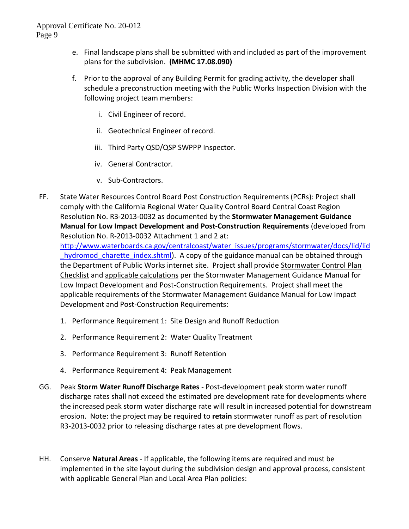- e. Final landscape plans shall be submitted with and included as part of the improvement plans for the subdivision. **(MHMC 17.08.090)**
- f. Prior to the approval of any Building Permit for grading activity, the developer shall schedule a preconstruction meeting with the Public Works Inspection Division with the following project team members:
	- i. Civil Engineer of record.
	- ii. Geotechnical Engineer of record.
	- iii. Third Party QSD/QSP SWPPP Inspector.
	- iv. General Contractor.
	- v. Sub-Contractors.
- FF. State Water Resources Control Board Post Construction Requirements (PCRs): Project shall comply with the California Regional Water Quality Control Board Central Coast Region Resolution No. R3-2013-0032 as documented by the **Stormwater Management Guidance Manual for Low Impact Development and Post-Construction Requirements** (developed from Resolution No. R-2013-0032 Attachment 1 and 2 at:

[http://www.waterboards.ca.gov/centralcoast/water\\_issues/programs/stormwater/docs/lid/lid](http://www.waterboards.ca.gov/centralcoast/water_issues/programs/stormwater/docs/lid/lid_hydromod_charette_index.shtml) hydromod charette index.shtml). A copy of the guidance manual can be obtained through the Department of Public Works internet site. Project shall provide Stormwater Control Plan Checklist and applicable calculations per the Stormwater Management Guidance Manual for Low Impact Development and Post-Construction Requirements. Project shall meet the applicable requirements of the Stormwater Management Guidance Manual for Low Impact Development and Post-Construction Requirements:

- 1. Performance Requirement 1: Site Design and Runoff Reduction
- 2. Performance Requirement 2: Water Quality Treatment
- 3. Performance Requirement 3: Runoff Retention
- 4. Performance Requirement 4: Peak Management
- GG. Peak **Storm Water Runoff Discharge Rates** Post-development peak storm water runoff discharge rates shall not exceed the estimated pre development rate for developments where the increased peak storm water discharge rate will result in increased potential for downstream erosion. Note: the project may be required to **retain** stormwater runoff as part of resolution R3-2013-0032 prior to releasing discharge rates at pre development flows.
- HH. Conserve **Natural Areas** If applicable, the following items are required and must be implemented in the site layout during the subdivision design and approval process, consistent with applicable General Plan and Local Area Plan policies: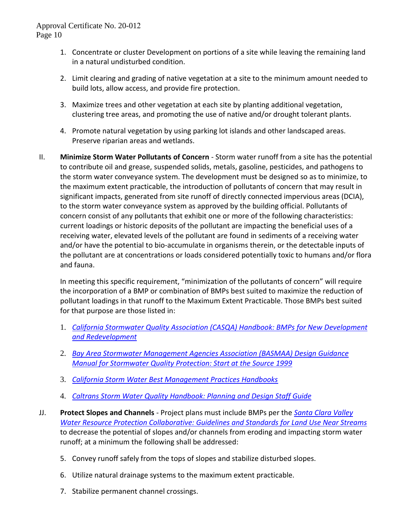- 1. Concentrate or cluster Development on portions of a site while leaving the remaining land in a natural undisturbed condition.
- 2. Limit clearing and grading of native vegetation at a site to the minimum amount needed to build lots, allow access, and provide fire protection.
- 3. Maximize trees and other vegetation at each site by planting additional vegetation, clustering tree areas, and promoting the use of native and/or drought tolerant plants.
- 4. Promote natural vegetation by using parking lot islands and other landscaped areas. Preserve riparian areas and wetlands.
- II. **Minimize Storm Water Pollutants of Concern** Storm water runoff from a site has the potential to contribute oil and grease, suspended solids, metals, gasoline, pesticides, and pathogens to the storm water conveyance system. The development must be designed so as to minimize, to the maximum extent practicable, the introduction of pollutants of concern that may result in significant impacts, generated from site runoff of directly connected impervious areas (DCIA), to the storm water conveyance system as approved by the building official. Pollutants of concern consist of any pollutants that exhibit one or more of the following characteristics: current loadings or historic deposits of the pollutant are impacting the beneficial uses of a receiving water, elevated levels of the pollutant are found in sediments of a receiving water and/or have the potential to bio-accumulate in organisms therein, or the detectable inputs of the pollutant are at concentrations or loads considered potentially toxic to humans and/or flora and fauna.

In meeting this specific requirement, "minimization of the pollutants of concern" will require the incorporation of a BMP or combination of BMPs best suited to maximize the reduction of pollutant loadings in that runoff to the Maximum Extent Practicable. Those BMPs best suited for that purpose are those listed in:

- 1. *[California Stormwater Quality Association \(CASQA\) Handbook: BMPs for New Development](http://www.cabmphandbooks.com/Development.asp) [and Redevelopment](http://www.cabmphandbooks.com/Development.asp)*
- 2. *[Bay Area Stormwater Management Agencies Association \(BASMAA\) Design Guidance](http://www.scvurppp-w2k.com/basmaa_satsm.htm) [Manual for Stormwater Quality Protection: Start at the Source 1999](http://www.scvurppp-w2k.com/basmaa_satsm.htm)*
- 3. *[California Storm Water Best Management Practices Handbooks](http://www.cabmphandbooks.com/)*
- 4. *[Caltrans Storm Water Quality Handbook: Planning and Design](http://www.dot.ca.gov/hq/env/stormwater/special/newsetup/_pdfs/management_ar_rwp/CTSW-RT-02-057.pdf) Staff Guide*
- JJ. **Protect Slopes and Channels** Project plans must include BMPs per the *[Santa Clara Valley](http://www.valleywater.org/Water/Watersheds_-_streams_and_floods/Taking_care_of_streams/_Guidelines_&_standards/Guidelines_&_Standards.shtm)  [Water Resource Protection Collaborative: Guidelines and Standards for Land Use Near Streams](http://www.valleywater.org/Water/Watersheds_-_streams_and_floods/Taking_care_of_streams/_Guidelines_&_standards/Guidelines_&_Standards.shtm)* to decrease the potential of slopes and/or channels from eroding and impacting storm water runoff; at a minimum the following shall be addressed:
	- 5. Convey runoff safely from the tops of slopes and stabilize disturbed slopes.
	- 6. Utilize natural drainage systems to the maximum extent practicable.
	- 7. Stabilize permanent channel crossings.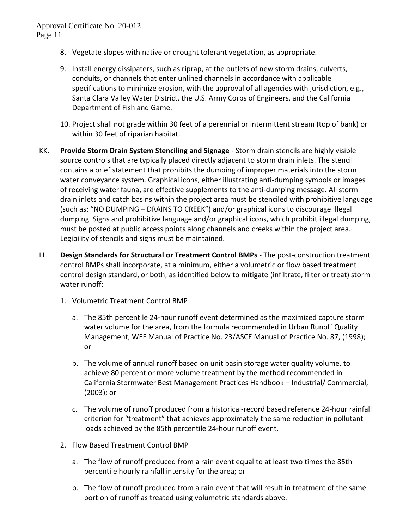- 8. Vegetate slopes with native or drought tolerant vegetation, as appropriate.
- 9. Install energy dissipaters, such as riprap, at the outlets of new storm drains, culverts, conduits, or channels that enter unlined channels in accordance with applicable specifications to minimize erosion, with the approval of all agencies with jurisdiction, e.g., Santa Clara Valley Water District, the U.S. Army Corps of Engineers, and the California Department of Fish and Game.
- 10. Project shall not grade within 30 feet of a perennial or intermittent stream (top of bank) or within 30 feet of riparian habitat.
- KK. **Provide Storm Drain System Stenciling and Signage** Storm drain stencils are highly visible source controls that are typically placed directly adjacent to storm drain inlets. The stencil contains a brief statement that prohibits the dumping of improper materials into the storm water conveyance system. Graphical icons, either illustrating anti-dumping symbols or images of receiving water fauna, are effective supplements to the anti-dumping message. All storm drain inlets and catch basins within the project area must be stenciled with prohibitive language (such as: "NO DUMPING – DRAINS TO CREEK") and/or graphical icons to discourage illegal dumping. Signs and prohibitive language and/or graphical icons, which prohibit illegal dumping, must be posted at public access points along channels and creeks within the project area.· Legibility of stencils and signs must be maintained.
- LL. **Design Standards for Structural or Treatment Control BMPs** The post-construction treatment control BMPs shall incorporate, at a minimum, either a volumetric or flow based treatment control design standard, or both, as identified below to mitigate (infiltrate, filter or treat) storm water runoff:
	- 1. Volumetric Treatment Control BMP
		- a. The 85th percentile 24-hour runoff event determined as the maximized capture storm water volume for the area, from the formula recommended in Urban Runoff Quality Management, WEF Manual of Practice No. 23/ASCE Manual of Practice No. 87, (1998); or
		- b. The volume of annual runoff based on unit basin storage water quality volume, to achieve 80 percent or more volume treatment by the method recommended in California Stormwater Best Management Practices Handbook – Industrial/ Commercial, (2003); or
		- c. The volume of runoff produced from a historical-record based reference 24-hour rainfall criterion for "treatment" that achieves approximately the same reduction in pollutant loads achieved by the 85th percentile 24-hour runoff event.
	- 2. Flow Based Treatment Control BMP
		- a. The flow of runoff produced from a rain event equal to at least two times the 85th percentile hourly rainfall intensity for the area; or
		- b. The flow of runoff produced from a rain event that will result in treatment of the same portion of runoff as treated using volumetric standards above.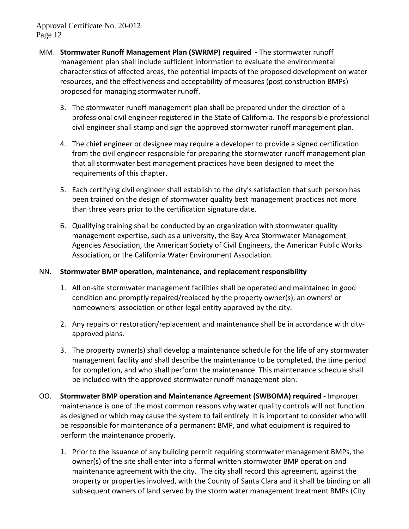- MM. **Stormwater Runoff Management Plan (SWRMP) required -** The stormwater runoff management plan shall include sufficient information to evaluate the environmental characteristics of affected areas, the potential impacts of the proposed development on water resources, and the effectiveness and acceptability of measures (post construction BMPs) proposed for managing stormwater runoff.
	- 3. The stormwater runoff management plan shall be prepared under the direction of a professional civil engineer registered in the State of California. The responsible professional civil engineer shall stamp and sign the approved stormwater runoff management plan.
	- 4. The chief engineer or designee may require a developer to provide a signed certification from the civil engineer responsible for preparing the stormwater runoff management plan that all stormwater best management practices have been designed to meet the requirements of this chapter.
	- 5. Each certifying civil engineer shall establish to the city's satisfaction that such person has been trained on the design of stormwater quality best management practices not more than three years prior to the certification signature date.
	- 6. Qualifying training shall be conducted by an organization with stormwater quality management expertise, such as a university, the Bay Area Stormwater Management Agencies Association, the American Society of Civil Engineers, the American Public Works Association, or the California Water Environment Association.

### NN. **Stormwater BMP operation, maintenance, and replacement responsibility**

- 1. All on-site stormwater management facilities shall be operated and maintained in good condition and promptly repaired/replaced by the property owner(s), an owners' or homeowners' association or other legal entity approved by the city.
- 2. Any repairs or restoration/replacement and maintenance shall be in accordance with cityapproved plans.
- 3. The property owner(s) shall develop a maintenance schedule for the life of any stormwater management facility and shall describe the maintenance to be completed, the time period for completion, and who shall perform the maintenance. This maintenance schedule shall be included with the approved stormwater runoff management plan.
- OO. **Stormwater BMP operation and Maintenance Agreement (SWBOMA) required -** Improper maintenance is one of the most common reasons why water quality controls will not function as designed or which may cause the system to fail entirely. It is important to consider who will be responsible for maintenance of a permanent BMP, and what equipment is required to perform the maintenance properly.
	- 1. Prior to the issuance of any building permit requiring stormwater management BMPs, the owner(s) of the site shall enter into a formal written stormwater BMP operation and maintenance agreement with the city. The city shall record this agreement, against the property or properties involved, with the County of Santa Clara and it shall be binding on all subsequent owners of land served by the storm water management treatment BMPs (City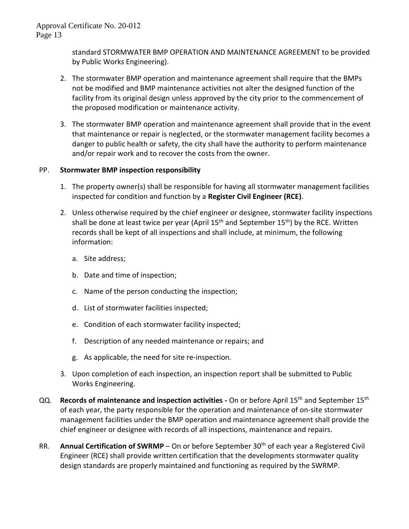standard STORMWATER BMP OPERATION AND MAINTENANCE AGREEMENT to be provided by Public Works Engineering).

- 2. The stormwater BMP operation and maintenance agreement shall require that the BMPs not be modified and BMP maintenance activities not alter the designed function of the facility from its original design unless approved by the city prior to the commencement of the proposed modification or maintenance activity.
- 3. The stormwater BMP operation and maintenance agreement shall provide that in the event that maintenance or repair is neglected, or the stormwater management facility becomes a danger to public health or safety, the city shall have the authority to perform maintenance and/or repair work and to recover the costs from the owner.

## PP. **Stormwater BMP inspection responsibility**

- 1. The property owner(s) shall be responsible for having all stormwater management facilities inspected for condition and function by a **Register Civil Engineer (RCE)**.
- 2. Unless otherwise required by the chief engineer or designee, stormwater facility inspections shall be done at least twice per year (April  $15<sup>th</sup>$  and September  $15<sup>th</sup>$ ) by the RCE. Written records shall be kept of all inspections and shall include, at minimum, the following information:
	- a. Site address;
	- b. Date and time of inspection;
	- c. Name of the person conducting the inspection;
	- d. List of stormwater facilities inspected;
	- e. Condition of each stormwater facility inspected;
	- f. Description of any needed maintenance or repairs; and
	- g. As applicable, the need for site re-inspection.
- 3. Upon completion of each inspection, an inspection report shall be submitted to Public Works Engineering.
- QQ. **Records of maintenance and inspection activities** On or before April 15<sup>th</sup> and September 15<sup>th</sup> of each year, the party responsible for the operation and maintenance of on-site stormwater management facilities under the BMP operation and maintenance agreement shall provide the chief engineer or designee with records of all inspections, maintenance and repairs.
- RR. Annual Certification of SWRMP On or before September 30<sup>th</sup> of each year a Registered Civil Engineer (RCE) shall provide written certification that the developments stormwater quality design standards are properly maintained and functioning as required by the SWRMP.